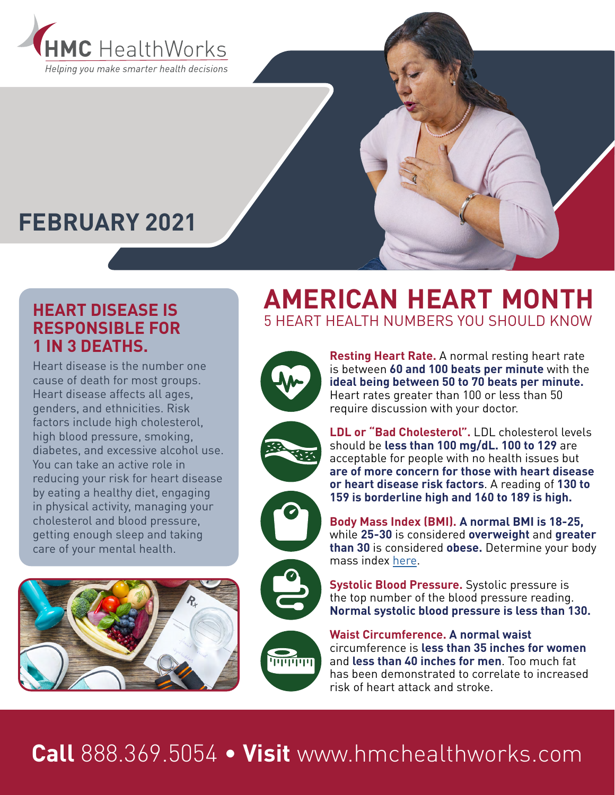

### **FEBRUARY 2021**

#### **HEART DISEASE IS RESPONSIBLE FOR 1 IN 3 DEATHS.**

Heart disease is the number one cause of death for most groups. Heart disease affects all ages, genders, and ethnicities. Risk factors include high cholesterol, high blood pressure, smoking, diabetes, and excessive alcohol use. You can take an active role in reducing your risk for heart disease by eating a healthy diet, engaging in physical activity, managing your cholesterol and blood pressure, getting enough sleep and taking care of your mental health.



### **AMERICAN HEART MONTH** 5 HEART HEALTH NUMBERS YOU SHOULD KNOW

require discussion with your doctor.











**LDL or "Bad Cholesterol".** LDL cholesterol levels should be **less than 100 mg/dL. 100 to 129** are acceptable for people with no health issues but **are of more concern for those with heart disease or heart disease risk factors**. A reading of **130 to 159 is borderline high and 160 to 189 is high.**

**Resting Heart Rate.** A normal resting heart rate is between **60 and 100 beats per minute** with the **ideal being between 50 to 70 beats per minute.**  Heart rates greater than 100 or less than 50

**Body Mass Index (BMI). A normal BMI is 18-25,** while **25-30** is considered **overweight** and **greater than 30** is considered **obese.** Determine your body mass index [here](https://www.nhlbi.nih.gov/health/educational/lose_wt/BMI/bmicalc.htm).

**Systolic Blood Pressure.** Systolic pressure is the top number of the blood pressure reading. **Normal systolic blood pressure is less than 130.**

**Waist Circumference. A normal waist**  circumference is **less than 35 inches for women**  and **less than 40 inches for men**. Too much fat has been demonstrated to correlate to increased risk of heart attack and stroke.

## **Call** 888.369.5054 • **Visit** www.hmchealthworks.com